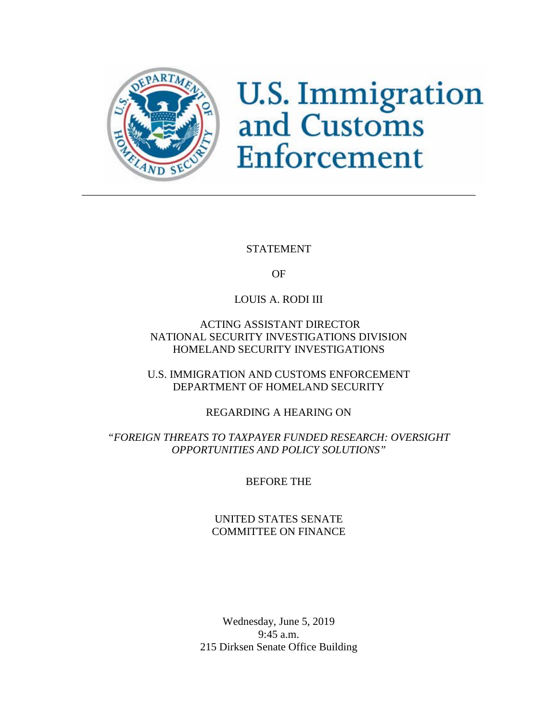

# **U.S. Immigration**<br>and Customs Enforcement

STATEMENT

OF

## LOUIS A. RODI III

### ACTING ASSISTANT DIRECTOR NATIONAL SECURITY INVESTIGATIONS DIVISION HOMELAND SECURITY INVESTIGATIONS

U.S. IMMIGRATION AND CUSTOMS ENFORCEMENT DEPARTMENT OF HOMELAND SECURITY

REGARDING A HEARING ON

## *"FOREIGN THREATS TO TAXPAYER FUNDED RESEARCH: OVERSIGHT OPPORTUNITIES AND POLICY SOLUTIONS"*

BEFORE THE

UNITED STATES SENATE COMMITTEE ON FINANCE

Wednesday, June 5, 2019 9:45 a.m. 215 Dirksen Senate Office Building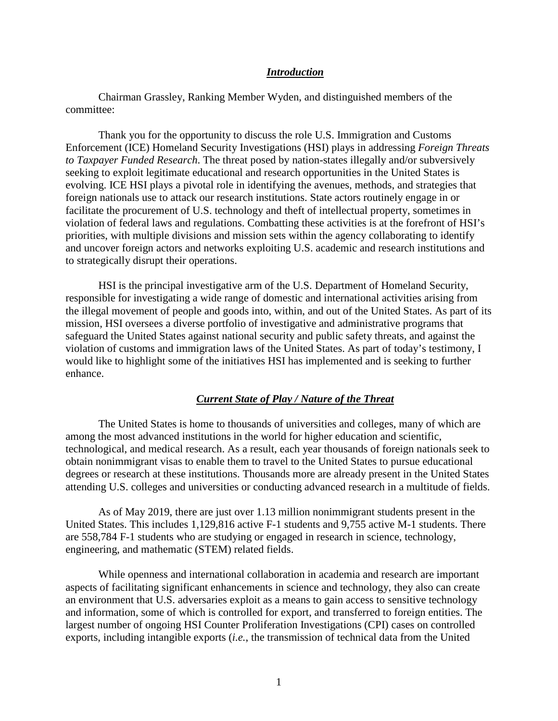#### *Introduction*

Chairman Grassley, Ranking Member Wyden, and distinguished members of the committee:

Thank you for the opportunity to discuss the role U.S. Immigration and Customs Enforcement (ICE) Homeland Security Investigations (HSI) plays in addressing *Foreign Threats to Taxpayer Funded Research*. The threat posed by nation-states illegally and/or subversively seeking to exploit legitimate educational and research opportunities in the United States is evolving. ICE HSI plays a pivotal role in identifying the avenues, methods, and strategies that foreign nationals use to attack our research institutions. State actors routinely engage in or facilitate the procurement of U.S. technology and theft of intellectual property, sometimes in violation of federal laws and regulations. Combatting these activities is at the forefront of HSI's priorities, with multiple divisions and mission sets within the agency collaborating to identify and uncover foreign actors and networks exploiting U.S. academic and research institutions and to strategically disrupt their operations.

HSI is the principal investigative arm of the U.S. Department of Homeland Security, responsible for investigating a wide range of domestic and international activities arising from the illegal movement of people and goods into, within, and out of the United States. As part of its mission, HSI oversees a diverse portfolio of investigative and administrative programs that safeguard the United States against national security and public safety threats, and against the violation of customs and immigration laws of the United States. As part of today's testimony, I would like to highlight some of the initiatives HSI has implemented and is seeking to further enhance.

#### *Current State of Play / Nature of the Threat*

The United States is home to thousands of universities and colleges, many of which are among the most advanced institutions in the world for higher education and scientific, technological, and medical research. As a result, each year thousands of foreign nationals seek to obtain nonimmigrant visas to enable them to travel to the United States to pursue educational degrees or research at these institutions. Thousands more are already present in the United States attending U.S. colleges and universities or conducting advanced research in a multitude of fields.

As of May 2019, there are just over 1.13 million nonimmigrant students present in the United States. This includes 1,129,816 active F-1 students and 9,755 active M-1 students. There are 558,784 F-1 students who are studying or engaged in research in science, technology, engineering, and mathematic (STEM) related fields.

While openness and international collaboration in academia and research are important aspects of facilitating significant enhancements in science and technology, they also can create an environment that U.S. adversaries exploit as a means to gain access to sensitive technology and information, some of which is controlled for export, and transferred to foreign entities. The largest number of ongoing HSI Counter Proliferation Investigations (CPI) cases on controlled exports, including intangible exports (*i.e.*, the transmission of technical data from the United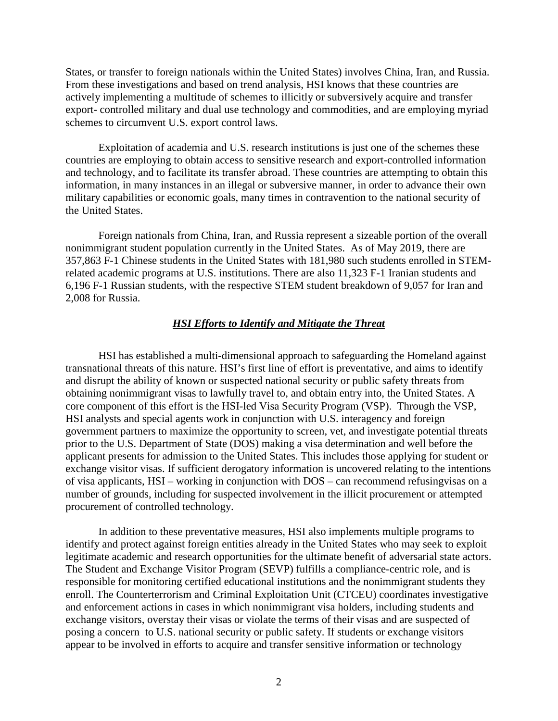States, or transfer to foreign nationals within the United States) involves China, Iran, and Russia. From these investigations and based on trend analysis, HSI knows that these countries are actively implementing a multitude of schemes to illicitly or subversively acquire and transfer export- controlled military and dual use technology and commodities, and are employing myriad schemes to circumvent U.S. export control laws.

Exploitation of academia and U.S. research institutions is just one of the schemes these countries are employing to obtain access to sensitive research and export-controlled information and technology, and to facilitate its transfer abroad. These countries are attempting to obtain this information, in many instances in an illegal or subversive manner, in order to advance their own military capabilities or economic goals, many times in contravention to the national security of the United States.

Foreign nationals from China, Iran, and Russia represent a sizeable portion of the overall nonimmigrant student population currently in the United States. As of May 2019, there are 357,863 F-1 Chinese students in the United States with 181,980 such students enrolled in STEMrelated academic programs at U.S. institutions. There are also 11,323 F-1 Iranian students and 6,196 F-1 Russian students, with the respective STEM student breakdown of 9,057 for Iran and 2,008 for Russia.

#### *HSI Efforts to Identify and Mitigate the Threat*

HSI has established a multi-dimensional approach to safeguarding the Homeland against transnational threats of this nature. HSI's first line of effort is preventative, and aims to identify and disrupt the ability of known or suspected national security or public safety threats from obtaining nonimmigrant visas to lawfully travel to, and obtain entry into, the United States. A core component of this effort is the HSI-led Visa Security Program (VSP). Through the VSP, HSI analysts and special agents work in conjunction with U.S. interagency and foreign government partners to maximize the opportunity to screen, vet, and investigate potential threats prior to the U.S. Department of State (DOS) making a visa determination and well before the applicant presents for admission to the United States. This includes those applying for student or exchange visitor visas. If sufficient derogatory information is uncovered relating to the intentions of visa applicants, HSI – working in conjunction with DOS – can recommend refusingvisas on a number of grounds, including for suspected involvement in the illicit procurement or attempted procurement of controlled technology.

In addition to these preventative measures, HSI also implements multiple programs to identify and protect against foreign entities already in the United States who may seek to exploit legitimate academic and research opportunities for the ultimate benefit of adversarial state actors. The Student and Exchange Visitor Program (SEVP) fulfills a compliance-centric role, and is responsible for monitoring certified educational institutions and the nonimmigrant students they enroll. The Counterterrorism and Criminal Exploitation Unit (CTCEU) coordinates investigative and enforcement actions in cases in which nonimmigrant visa holders, including students and exchange visitors, overstay their visas or violate the terms of their visas and are suspected of posing a concern to U.S. national security or public safety. If students or exchange visitors appear to be involved in efforts to acquire and transfer sensitive information or technology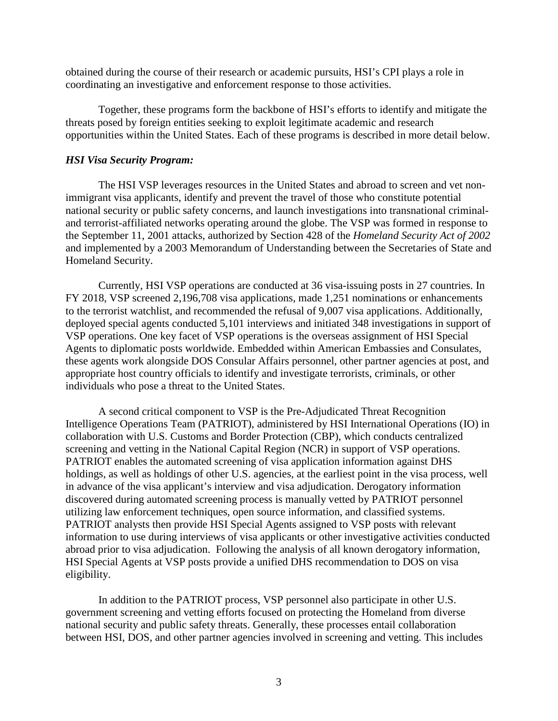obtained during the course of their research or academic pursuits, HSI's CPI plays a role in coordinating an investigative and enforcement response to those activities.

Together, these programs form the backbone of HSI's efforts to identify and mitigate the threats posed by foreign entities seeking to exploit legitimate academic and research opportunities within the United States. Each of these programs is described in more detail below.

#### *HSI Visa Security Program:*

The HSI VSP leverages resources in the United States and abroad to screen and vet nonimmigrant visa applicants, identify and prevent the travel of those who constitute potential national security or public safety concerns, and launch investigations into transnational criminaland terrorist-affiliated networks operating around the globe. The VSP was formed in response to the September 11, 2001 attacks, authorized by Section 428 of the *Homeland Security Act of 2002* and implemented by a 2003 Memorandum of Understanding between the Secretaries of State and Homeland Security.

Currently, HSI VSP operations are conducted at 36 visa-issuing posts in 27 countries. In FY 2018, VSP screened 2,196,708 visa applications, made 1,251 nominations or enhancements to the terrorist watchlist, and recommended the refusal of 9,007 visa applications. Additionally, deployed special agents conducted 5,101 interviews and initiated 348 investigations in support of VSP operations. One key facet of VSP operations is the overseas assignment of HSI Special Agents to diplomatic posts worldwide. Embedded within American Embassies and Consulates, these agents work alongside DOS Consular Affairs personnel, other partner agencies at post, and appropriate host country officials to identify and investigate terrorists, criminals, or other individuals who pose a threat to the United States.

A second critical component to VSP is the Pre-Adjudicated Threat Recognition Intelligence Operations Team (PATRIOT), administered by HSI International Operations (IO) in collaboration with U.S. Customs and Border Protection (CBP), which conducts centralized screening and vetting in the National Capital Region (NCR) in support of VSP operations. PATRIOT enables the automated screening of visa application information against DHS holdings, as well as holdings of other U.S. agencies, at the earliest point in the visa process, well in advance of the visa applicant's interview and visa adjudication. Derogatory information discovered during automated screening process is manually vetted by PATRIOT personnel utilizing law enforcement techniques, open source information, and classified systems. PATRIOT analysts then provide HSI Special Agents assigned to VSP posts with relevant information to use during interviews of visa applicants or other investigative activities conducted abroad prior to visa adjudication. Following the analysis of all known derogatory information, HSI Special Agents at VSP posts provide a unified DHS recommendation to DOS on visa eligibility.

In addition to the PATRIOT process, VSP personnel also participate in other U.S. government screening and vetting efforts focused on protecting the Homeland from diverse national security and public safety threats. Generally, these processes entail collaboration between HSI, DOS, and other partner agencies involved in screening and vetting. This includes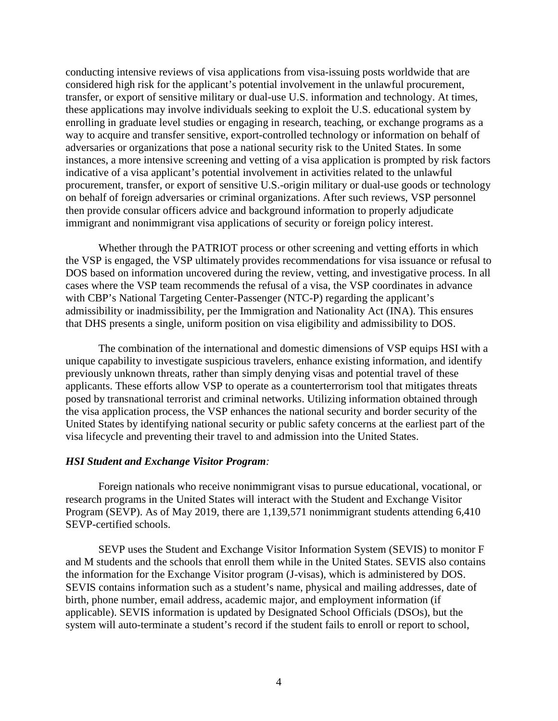conducting intensive reviews of visa applications from visa-issuing posts worldwide that are considered high risk for the applicant's potential involvement in the unlawful procurement, transfer, or export of sensitive military or dual-use U.S. information and technology. At times, these applications may involve individuals seeking to exploit the U.S. educational system by enrolling in graduate level studies or engaging in research, teaching, or exchange programs as a way to acquire and transfer sensitive, export-controlled technology or information on behalf of adversaries or organizations that pose a national security risk to the United States. In some instances, a more intensive screening and vetting of a visa application is prompted by risk factors indicative of a visa applicant's potential involvement in activities related to the unlawful procurement, transfer, or export of sensitive U.S.-origin military or dual-use goods or technology on behalf of foreign adversaries or criminal organizations. After such reviews, VSP personnel then provide consular officers advice and background information to properly adjudicate immigrant and nonimmigrant visa applications of security or foreign policy interest.

Whether through the PATRIOT process or other screening and vetting efforts in which the VSP is engaged, the VSP ultimately provides recommendations for visa issuance or refusal to DOS based on information uncovered during the review, vetting, and investigative process. In all cases where the VSP team recommends the refusal of a visa, the VSP coordinates in advance with CBP's National Targeting Center-Passenger (NTC-P) regarding the applicant's admissibility or inadmissibility, per the Immigration and Nationality Act (INA). This ensures that DHS presents a single, uniform position on visa eligibility and admissibility to DOS.

The combination of the international and domestic dimensions of VSP equips HSI with a unique capability to investigate suspicious travelers, enhance existing information, and identify previously unknown threats, rather than simply denying visas and potential travel of these applicants. These efforts allow VSP to operate as a counterterrorism tool that mitigates threats posed by transnational terrorist and criminal networks. Utilizing information obtained through the visa application process, the VSP enhances the national security and border security of the United States by identifying national security or public safety concerns at the earliest part of the visa lifecycle and preventing their travel to and admission into the United States.

#### *HSI Student and Exchange Visitor Program:*

Foreign nationals who receive nonimmigrant visas to pursue educational, vocational, or research programs in the United States will interact with the Student and Exchange Visitor Program (SEVP). As of May 2019, there are 1,139,571 nonimmigrant students attending 6,410 SEVP-certified schools.

SEVP uses the Student and Exchange Visitor Information System (SEVIS) to monitor F and M students and the schools that enroll them while in the United States. SEVIS also contains the information for the Exchange Visitor program (J-visas), which is administered by DOS. SEVIS contains information such as a student's name, physical and mailing addresses, date of birth, phone number, email address, academic major, and employment information (if applicable). SEVIS information is updated by Designated School Officials (DSOs), but the system will auto-terminate a student's record if the student fails to enroll or report to school,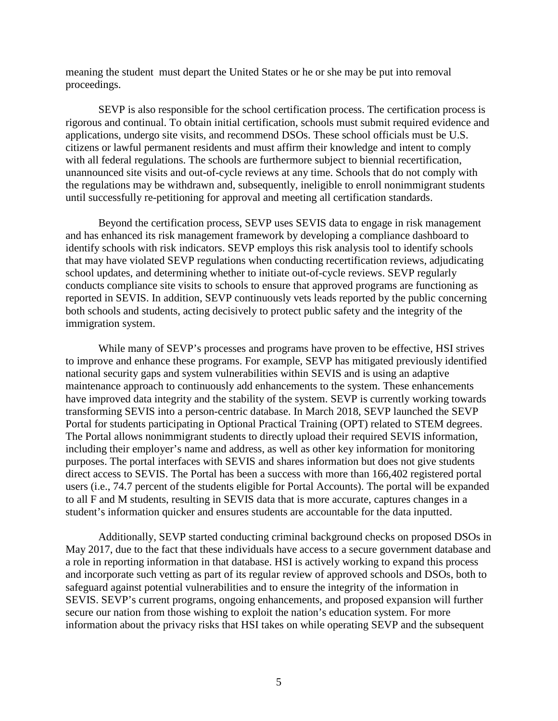meaning the student must depart the United States or he or she may be put into removal proceedings.

SEVP is also responsible for the school certification process. The certification process is rigorous and continual. To obtain initial certification, schools must submit required evidence and applications, undergo site visits, and recommend DSOs. These school officials must be U.S. citizens or lawful permanent residents and must affirm their knowledge and intent to comply with all federal regulations. The schools are furthermore subject to biennial recertification, unannounced site visits and out-of-cycle reviews at any time. Schools that do not comply with the regulations may be withdrawn and, subsequently, ineligible to enroll nonimmigrant students until successfully re-petitioning for approval and meeting all certification standards.

Beyond the certification process, SEVP uses SEVIS data to engage in risk management and has enhanced its risk management framework by developing a compliance dashboard to identify schools with risk indicators. SEVP employs this risk analysis tool to identify schools that may have violated SEVP regulations when conducting recertification reviews, adjudicating school updates, and determining whether to initiate out-of-cycle reviews. SEVP regularly conducts compliance site visits to schools to ensure that approved programs are functioning as reported in SEVIS. In addition, SEVP continuously vets leads reported by the public concerning both schools and students, acting decisively to protect public safety and the integrity of the immigration system.

While many of SEVP's processes and programs have proven to be effective, HSI strives to improve and enhance these programs. For example, SEVP has mitigated previously identified national security gaps and system vulnerabilities within SEVIS and is using an adaptive maintenance approach to continuously add enhancements to the system. These enhancements have improved data integrity and the stability of the system. SEVP is currently working towards transforming SEVIS into a person-centric database. In March 2018, SEVP launched the SEVP Portal for students participating in Optional Practical Training (OPT) related to STEM degrees. The Portal allows nonimmigrant students to directly upload their required SEVIS information, including their employer's name and address, as well as other key information for monitoring purposes. The portal interfaces with SEVIS and shares information but does not give students direct access to SEVIS. The Portal has been a success with more than 166,402 registered portal users (i.e., 74.7 percent of the students eligible for Portal Accounts). The portal will be expanded to all F and M students, resulting in SEVIS data that is more accurate, captures changes in a student's information quicker and ensures students are accountable for the data inputted.

Additionally, SEVP started conducting criminal background checks on proposed DSOs in May 2017, due to the fact that these individuals have access to a secure government database and a role in reporting information in that database. HSI is actively working to expand this process and incorporate such vetting as part of its regular review of approved schools and DSOs, both to safeguard against potential vulnerabilities and to ensure the integrity of the information in SEVIS. SEVP's current programs, ongoing enhancements, and proposed expansion will further secure our nation from those wishing to exploit the nation's education system. For more information about the privacy risks that HSI takes on while operating SEVP and the subsequent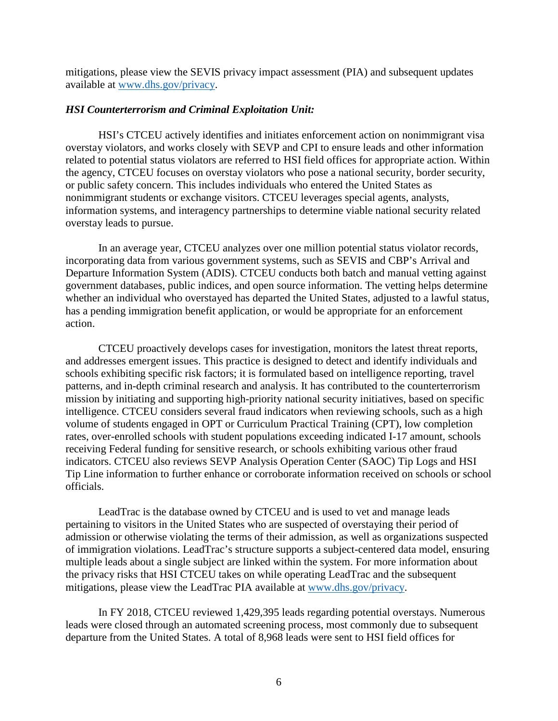mitigations, please view the SEVIS privacy impact assessment (PIA) and subsequent updates available at [www.dhs.gov/privacy.](http://www.dhs.gov/privacy)

#### *HSI Counterterrorism and Criminal Exploitation Unit:*

HSI's CTCEU actively identifies and initiates enforcement action on nonimmigrant visa overstay violators, and works closely with SEVP and CPI to ensure leads and other information related to potential status violators are referred to HSI field offices for appropriate action. Within the agency, CTCEU focuses on overstay violators who pose a national security, border security, or public safety concern. This includes individuals who entered the United States as nonimmigrant students or exchange visitors. CTCEU leverages special agents, analysts, information systems, and interagency partnerships to determine viable national security related overstay leads to pursue.

In an average year, CTCEU analyzes over one million potential status violator records, incorporating data from various government systems, such as SEVIS and CBP's Arrival and Departure Information System (ADIS). CTCEU conducts both batch and manual vetting against government databases, public indices, and open source information. The vetting helps determine whether an individual who overstayed has departed the United States, adjusted to a lawful status, has a pending immigration benefit application, or would be appropriate for an enforcement action.

CTCEU proactively develops cases for investigation, monitors the latest threat reports, and addresses emergent issues. This practice is designed to detect and identify individuals and schools exhibiting specific risk factors; it is formulated based on intelligence reporting, travel patterns, and in-depth criminal research and analysis. It has contributed to the counterterrorism mission by initiating and supporting high-priority national security initiatives, based on specific intelligence. CTCEU considers several fraud indicators when reviewing schools, such as a high volume of students engaged in OPT or Curriculum Practical Training (CPT), low completion rates, over-enrolled schools with student populations exceeding indicated I-17 amount, schools receiving Federal funding for sensitive research, or schools exhibiting various other fraud indicators. CTCEU also reviews SEVP Analysis Operation Center (SAOC) Tip Logs and HSI Tip Line information to further enhance or corroborate information received on schools or school officials.

LeadTrac is the database owned by CTCEU and is used to vet and manage leads pertaining to visitors in the United States who are suspected of overstaying their period of admission or otherwise violating the terms of their admission, as well as organizations suspected of immigration violations. LeadTrac's structure supports a subject-centered data model, ensuring multiple leads about a single subject are linked within the system. For more information about the privacy risks that HSI CTCEU takes on while operating LeadTrac and the subsequent mitigations, please view the LeadTrac PIA available at [www.dhs.gov/privacy.](http://www.dhs.gov/privacy)

In FY 2018, CTCEU reviewed 1,429,395 leads regarding potential overstays. Numerous leads were closed through an automated screening process, most commonly due to subsequent departure from the United States. A total of 8,968 leads were sent to HSI field offices for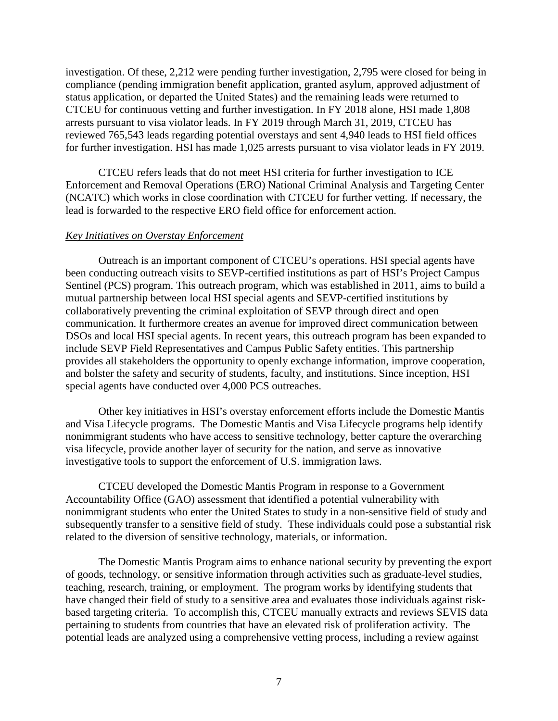investigation. Of these, 2,212 were pending further investigation, 2,795 were closed for being in compliance (pending immigration benefit application, granted asylum, approved adjustment of status application, or departed the United States) and the remaining leads were returned to CTCEU for continuous vetting and further investigation. In FY 2018 alone, HSI made 1,808 arrests pursuant to visa violator leads. In FY 2019 through March 31, 2019, CTCEU has reviewed 765,543 leads regarding potential overstays and sent 4,940 leads to HSI field offices for further investigation. HSI has made 1,025 arrests pursuant to visa violator leads in FY 2019.

CTCEU refers leads that do not meet HSI criteria for further investigation to ICE Enforcement and Removal Operations (ERO) National Criminal Analysis and Targeting Center (NCATC) which works in close coordination with CTCEU for further vetting. If necessary, the lead is forwarded to the respective ERO field office for enforcement action.

#### *Key Initiatives on Overstay Enforcement*

Outreach is an important component of CTCEU's operations. HSI special agents have been conducting outreach visits to SEVP-certified institutions as part of HSI's Project Campus Sentinel (PCS) program. This outreach program, which was established in 2011, aims to build a mutual partnership between local HSI special agents and SEVP-certified institutions by collaboratively preventing the criminal exploitation of SEVP through direct and open communication. It furthermore creates an avenue for improved direct communication between DSOs and local HSI special agents. In recent years, this outreach program has been expanded to include SEVP Field Representatives and Campus Public Safety entities. This partnership provides all stakeholders the opportunity to openly exchange information, improve cooperation, and bolster the safety and security of students, faculty, and institutions. Since inception, HSI special agents have conducted over 4,000 PCS outreaches.

Other key initiatives in HSI's overstay enforcement efforts include the Domestic Mantis and Visa Lifecycle programs. The Domestic Mantis and Visa Lifecycle programs help identify nonimmigrant students who have access to sensitive technology, better capture the overarching visa lifecycle, provide another layer of security for the nation, and serve as innovative investigative tools to support the enforcement of U.S. immigration laws.

CTCEU developed the Domestic Mantis Program in response to a Government Accountability Office (GAO) assessment that identified a potential vulnerability with nonimmigrant students who enter the United States to study in a non-sensitive field of study and subsequently transfer to a sensitive field of study. These individuals could pose a substantial risk related to the diversion of sensitive technology, materials, or information.

The Domestic Mantis Program aims to enhance national security by preventing the export of goods, technology, or sensitive information through activities such as graduate-level studies, teaching, research, training, or employment. The program works by identifying students that have changed their field of study to a sensitive area and evaluates those individuals against riskbased targeting criteria. To accomplish this, CTCEU manually extracts and reviews SEVIS data pertaining to students from countries that have an elevated risk of proliferation activity. The potential leads are analyzed using a comprehensive vetting process, including a review against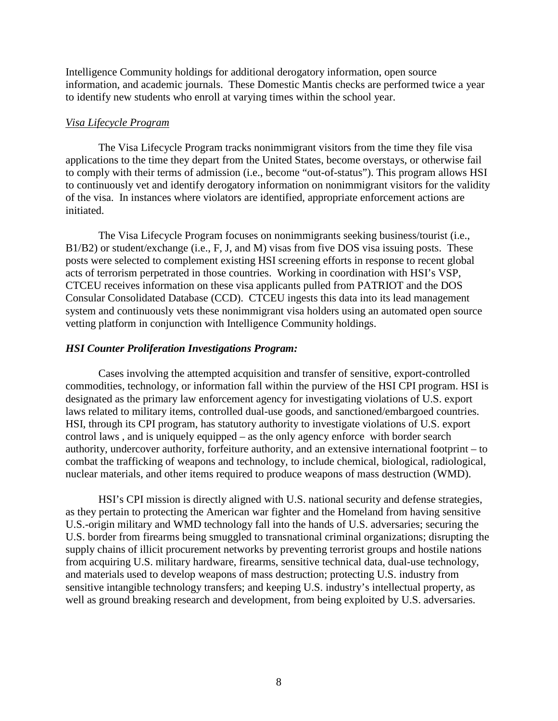Intelligence Community holdings for additional derogatory information, open source information, and academic journals. These Domestic Mantis checks are performed twice a year to identify new students who enroll at varying times within the school year.

#### *Visa Lifecycle Program*

The Visa Lifecycle Program tracks nonimmigrant visitors from the time they file visa applications to the time they depart from the United States, become overstays, or otherwise fail to comply with their terms of admission (i.e., become "out-of-status"). This program allows HSI to continuously vet and identify derogatory information on nonimmigrant visitors for the validity of the visa. In instances where violators are identified, appropriate enforcement actions are initiated.

The Visa Lifecycle Program focuses on nonimmigrants seeking business/tourist (i.e., B1/B2) or student/exchange (i.e., F, J, and M) visas from five DOS visa issuing posts. These posts were selected to complement existing HSI screening efforts in response to recent global acts of terrorism perpetrated in those countries. Working in coordination with HSI's VSP, CTCEU receives information on these visa applicants pulled from PATRIOT and the DOS Consular Consolidated Database (CCD). CTCEU ingests this data into its lead management system and continuously vets these nonimmigrant visa holders using an automated open source vetting platform in conjunction with Intelligence Community holdings.

#### *HSI Counter Proliferation Investigations Program:*

Cases involving the attempted acquisition and transfer of sensitive, export-controlled commodities, technology, or information fall within the purview of the HSI CPI program. HSI is designated as the primary law enforcement agency for investigating violations of U.S. export laws related to military items, controlled dual-use goods, and sanctioned/embargoed countries. HSI, through its CPI program, has statutory authority to investigate violations of U.S. export control laws , and is uniquely equipped – as the only agency enforce with border search authority, undercover authority, forfeiture authority, and an extensive international footprint – to combat the trafficking of weapons and technology, to include chemical, biological, radiological, nuclear materials, and other items required to produce weapons of mass destruction (WMD).

HSI's CPI mission is directly aligned with U.S. national security and defense strategies, as they pertain to protecting the American war fighter and the Homeland from having sensitive U.S.-origin military and WMD technology fall into the hands of U.S. adversaries; securing the U.S. border from firearms being smuggled to transnational criminal organizations; disrupting the supply chains of illicit procurement networks by preventing terrorist groups and hostile nations from acquiring U.S. military hardware, firearms, sensitive technical data, dual-use technology, and materials used to develop weapons of mass destruction; protecting U.S. industry from sensitive intangible technology transfers; and keeping U.S. industry's intellectual property, as well as ground breaking research and development, from being exploited by U.S. adversaries.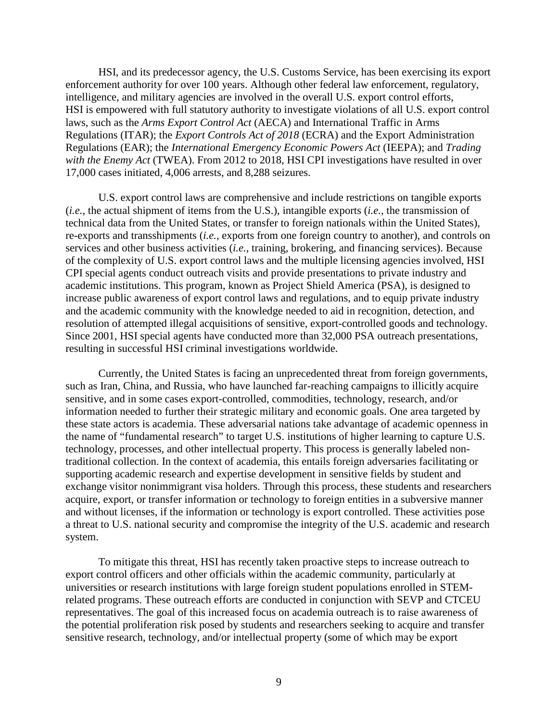HSI, and its predecessor agency, the U.S. Customs Service, has been exercising its export enforcement authority for over 100 years. Although other federal law enforcement, regulatory, intelligence, and military agencies are involved in the overall U.S. export control efforts, HSI is empowered with full statutory authority to investigate violations of all U.S. export control laws, such as the *Arms Export Control Act* (AECA) and International Traffic in Arms Regulations (ITAR); the *Export Controls Act of 2018* (ECRA) and the Export Administration Regulations (EAR); the *International Emergency Economic Powers Act* (IEEPA); and *Trading with the Enemy Act* (TWEA). From 2012 to 2018, HSI CPI investigations have resulted in over 17,000 cases initiated, 4,006 arrests, and 8,288 seizures.

U.S. export control laws are comprehensive and include restrictions on tangible exports (*i.e.*, the actual shipment of items from the U.S.), intangible exports (*i.e.*, the transmission of technical data from the United States, or transfer to foreign nationals within the United States), re-exports and transshipments (*i.e.*, exports from one foreign country to another), and controls on services and other business activities (*i.e.*, training, brokering, and financing services). Because of the complexity of U.S. export control laws and the multiple licensing agencies involved, HSI CPI special agents conduct outreach visits and provide presentations to private industry and academic institutions. This program, known as Project Shield America (PSA), is designed to increase public awareness of export control laws and regulations, and to equip private industry and the academic community with the knowledge needed to aid in recognition, detection, and resolution of attempted illegal acquisitions of sensitive, export-controlled goods and technology. Since 2001, HSI special agents have conducted more than 32,000 PSA outreach presentations, resulting in successful HSI criminal investigations worldwide.

Currently, the United States is facing an unprecedented threat from foreign governments, such as Iran, China, and Russia, who have launched far-reaching campaigns to illicitly acquire sensitive, and in some cases export-controlled, commodities, technology, research, and/or information needed to further their strategic military and economic goals. One area targeted by these state actors is academia. These adversarial nations take advantage of academic openness in the name of "fundamental research" to target U.S. institutions of higher learning to capture U.S. technology, processes, and other intellectual property. This process is generally labeled nontraditional collection. In the context of academia, this entails foreign adversaries facilitating or supporting academic research and expertise development in sensitive fields by student and exchange visitor nonimmigrant visa holders. Through this process, these students and researchers acquire, export, or transfer information or technology to foreign entities in a subversive manner and without licenses, if the information or technology is export controlled. These activities pose a threat to U.S. national security and compromise the integrity of the U.S. academic and research system.

To mitigate this threat, HSI has recently taken proactive steps to increase outreach to export control officers and other officials within the academic community, particularly at universities or research institutions with large foreign student populations enrolled in STEMrelated programs. These outreach efforts are conducted in conjunction with SEVP and CTCEU representatives. The goal of this increased focus on academia outreach is to raise awareness of the potential proliferation risk posed by students and researchers seeking to acquire and transfer sensitive research, technology, and/or intellectual property (some of which may be export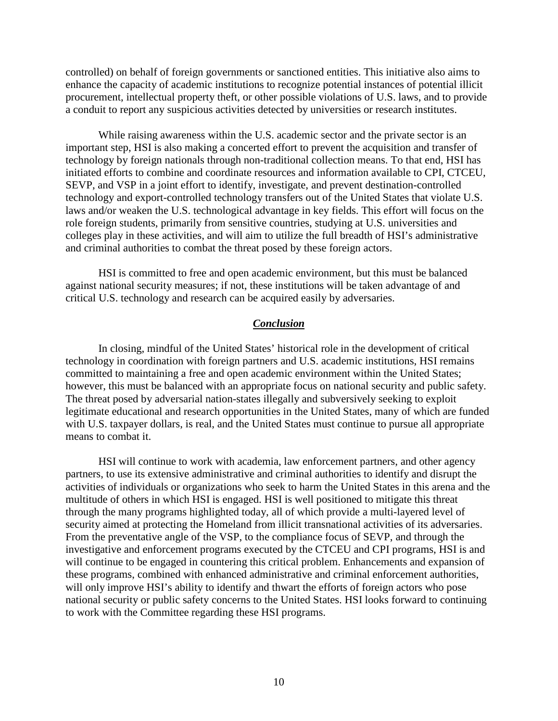controlled) on behalf of foreign governments or sanctioned entities. This initiative also aims to enhance the capacity of academic institutions to recognize potential instances of potential illicit procurement, intellectual property theft, or other possible violations of U.S. laws, and to provide a conduit to report any suspicious activities detected by universities or research institutes.

While raising awareness within the U.S. academic sector and the private sector is an important step, HSI is also making a concerted effort to prevent the acquisition and transfer of technology by foreign nationals through non-traditional collection means. To that end, HSI has initiated efforts to combine and coordinate resources and information available to CPI, CTCEU, SEVP, and VSP in a joint effort to identify, investigate, and prevent destination-controlled technology and export-controlled technology transfers out of the United States that violate U.S. laws and/or weaken the U.S. technological advantage in key fields. This effort will focus on the role foreign students, primarily from sensitive countries, studying at U.S. universities and colleges play in these activities, and will aim to utilize the full breadth of HSI's administrative and criminal authorities to combat the threat posed by these foreign actors.

HSI is committed to free and open academic environment, but this must be balanced against national security measures; if not, these institutions will be taken advantage of and critical U.S. technology and research can be acquired easily by adversaries.

#### *Conclusion*

In closing, mindful of the United States' historical role in the development of critical technology in coordination with foreign partners and U.S. academic institutions, HSI remains committed to maintaining a free and open academic environment within the United States; however, this must be balanced with an appropriate focus on national security and public safety. The threat posed by adversarial nation-states illegally and subversively seeking to exploit legitimate educational and research opportunities in the United States, many of which are funded with U.S. taxpayer dollars, is real, and the United States must continue to pursue all appropriate means to combat it.

HSI will continue to work with academia, law enforcement partners, and other agency partners, to use its extensive administrative and criminal authorities to identify and disrupt the activities of individuals or organizations who seek to harm the United States in this arena and the multitude of others in which HSI is engaged. HSI is well positioned to mitigate this threat through the many programs highlighted today, all of which provide a multi-layered level of security aimed at protecting the Homeland from illicit transnational activities of its adversaries. From the preventative angle of the VSP, to the compliance focus of SEVP, and through the investigative and enforcement programs executed by the CTCEU and CPI programs, HSI is and will continue to be engaged in countering this critical problem. Enhancements and expansion of these programs, combined with enhanced administrative and criminal enforcement authorities, will only improve HSI's ability to identify and thwart the efforts of foreign actors who pose national security or public safety concerns to the United States. HSI looks forward to continuing to work with the Committee regarding these HSI programs.